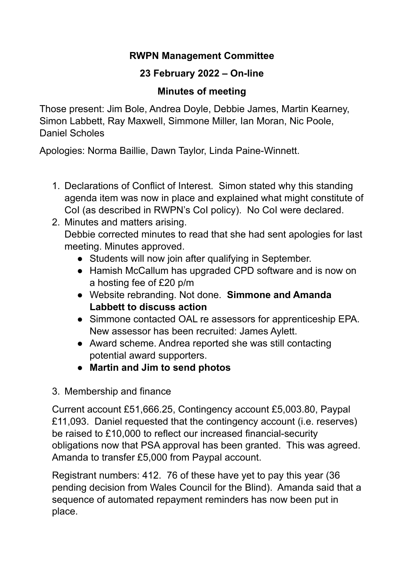### **RWPN Management Committee**

# **23 February 2022 – On-line**

# **Minutes of meeting**

Those present: Jim Bole, Andrea Doyle, Debbie James, Martin Kearney, Simon Labbett, Ray Maxwell, Simmone Miller, Ian Moran, Nic Poole, Daniel Scholes

Apologies: Norma Baillie, Dawn Taylor, Linda Paine-Winnett.

- 1. Declarations of Conflict of Interest. Simon stated why this standing agenda item was now in place and explained what might constitute of CoI (as described in RWPN's CoI policy). No CoI were declared.
- 2. Minutes and matters arising. Debbie corrected minutes to read that she had sent apologies for last meeting. Minutes approved.
	- Students will now join after qualifying in September.
	- Hamish McCallum has upgraded CPD software and is now on a hosting fee of £20 p/m
	- Website rebranding. Not done. **Simmone and Amanda Labbett to discuss action**
	- Simmone contacted OAL re assessors for apprenticeship EPA. New assessor has been recruited: James Aylett.
	- Award scheme. Andrea reported she was still contacting potential award supporters.
	- **Martin and Jim to send photos**
- 3. Membership and finance

Current account £51,666.25, Contingency account £5,003.80, Paypal £11,093. Daniel requested that the contingency account (i.e. reserves) be raised to £10,000 to reflect our increased financial-security obligations now that PSA approval has been granted. This was agreed. Amanda to transfer £5,000 from Paypal account.

Registrant numbers: 412. 76 of these have yet to pay this year (36 pending decision from Wales Council for the Blind). Amanda said that a sequence of automated repayment reminders has now been put in place.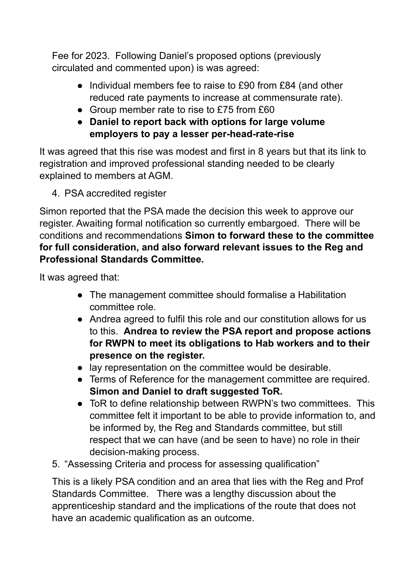Fee for 2023. Following Daniel's proposed options (previously circulated and commented upon) is was agreed:

- Individual members fee to raise to £90 from £84 (and other reduced rate payments to increase at commensurate rate).
- Group member rate to rise to £75 from £60
- **Daniel to report back with options for large volume employers to pay a lesser per-head-rate-rise**

It was agreed that this rise was modest and first in 8 years but that its link to registration and improved professional standing needed to be clearly explained to members at AGM.

4. PSA accredited register

Simon reported that the PSA made the decision this week to approve our register. Awaiting formal notification so currently embargoed. There will be conditions and recommendations **Simon to forward these to the committee for full consideration, and also forward relevant issues to the Reg and Professional Standards Committee.**

It was agreed that:

- The management committee should formalise a Habilitation committee role.
- Andrea agreed to fulfil this role and our constitution allows for us to this. **Andrea to review the PSA report and propose actions for RWPN to meet its obligations to Hab workers and to their presence on the register.**
- lay representation on the committee would be desirable.
- Terms of Reference for the management committee are required. **Simon and Daniel to draft suggested ToR.**
- ToR to define relationship between RWPN's two committees. This committee felt it important to be able to provide information to, and be informed by, the Reg and Standards committee, but still respect that we can have (and be seen to have) no role in their decision-making process.
- 5. "Assessing Criteria and process for assessing qualification"

This is a likely PSA condition and an area that lies with the Reg and Prof Standards Committee. There was a lengthy discussion about the apprenticeship standard and the implications of the route that does not have an academic qualification as an outcome.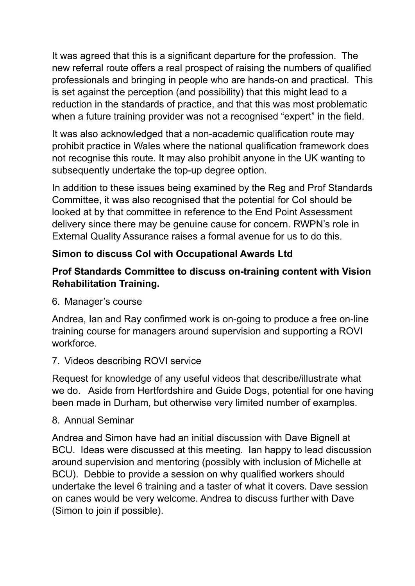It was agreed that this is a significant departure for the profession. The new referral route offers a real prospect of raising the numbers of qualified professionals and bringing in people who are hands-on and practical. This is set against the perception (and possibility) that this might lead to a reduction in the standards of practice, and that this was most problematic when a future training provider was not a recognised "expert" in the field.

It was also acknowledged that a non-academic qualification route may prohibit practice in Wales where the national qualification framework does not recognise this route. It may also prohibit anyone in the UK wanting to subsequently undertake the top-up degree option.

In addition to these issues being examined by the Reg and Prof Standards Committee, it was also recognised that the potential for CoI should be looked at by that committee in reference to the End Point Assessment delivery since there may be genuine cause for concern. RWPN's role in External Quality Assurance raises a formal avenue for us to do this.

# **Simon to discuss CoI with Occupational Awards Ltd**

### **Prof Standards Committee to discuss on-training content with Vision Rehabilitation Training.**

6. Manager's course

Andrea, Ian and Ray confirmed work is on-going to produce a free on-line training course for managers around supervision and supporting a ROVI workforce.

#### 7. Videos describing ROVI service

Request for knowledge of any useful videos that describe/illustrate what we do. Aside from Hertfordshire and Guide Dogs, potential for one having been made in Durham, but otherwise very limited number of examples.

#### 8. Annual Seminar

Andrea and Simon have had an initial discussion with Dave Bignell at BCU. Ideas were discussed at this meeting. Ian happy to lead discussion around supervision and mentoring (possibly with inclusion of Michelle at BCU). Debbie to provide a session on why qualified workers should undertake the level 6 training and a taster of what it covers. Dave session on canes would be very welcome. Andrea to discuss further with Dave (Simon to join if possible).